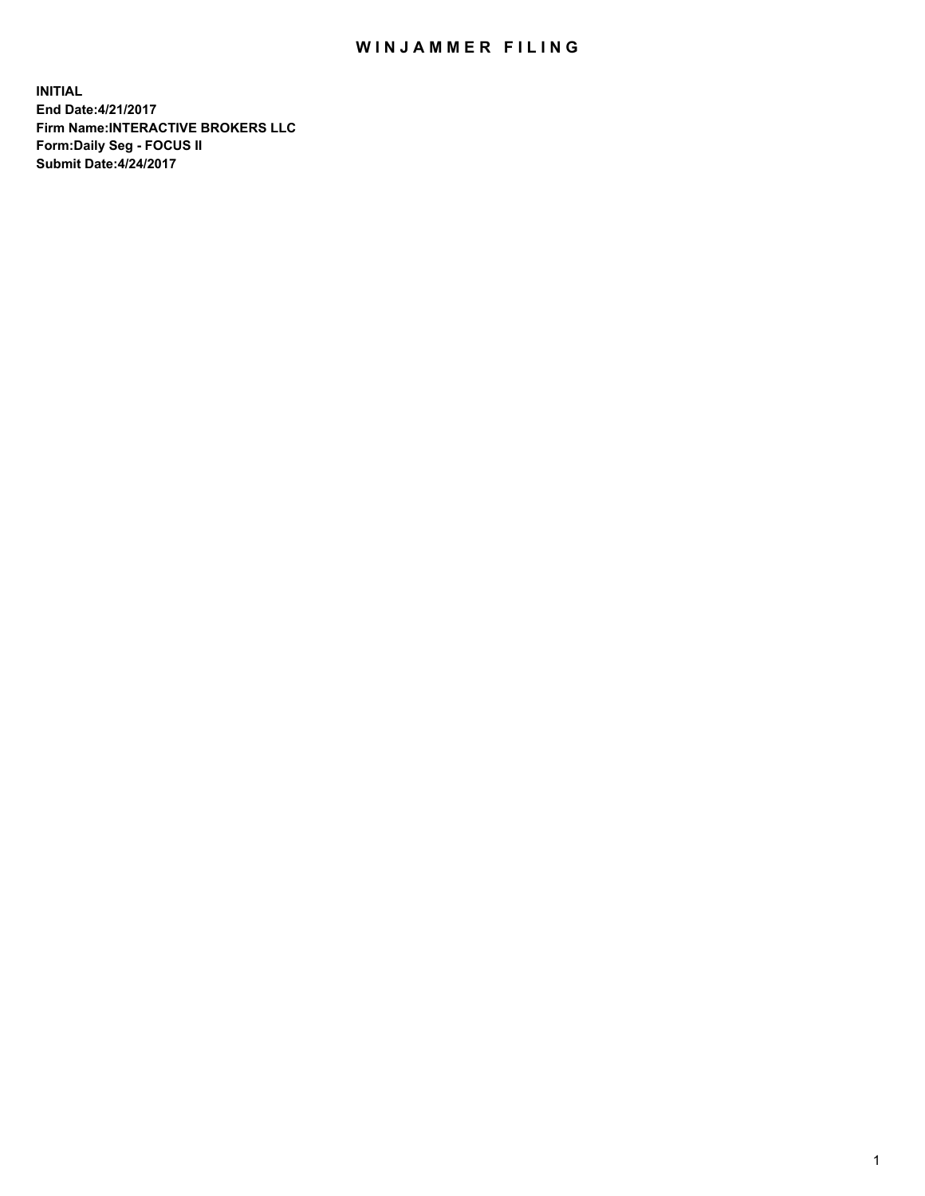## WIN JAMMER FILING

**INITIAL End Date:4/21/2017 Firm Name:INTERACTIVE BROKERS LLC Form:Daily Seg - FOCUS II Submit Date:4/24/2017**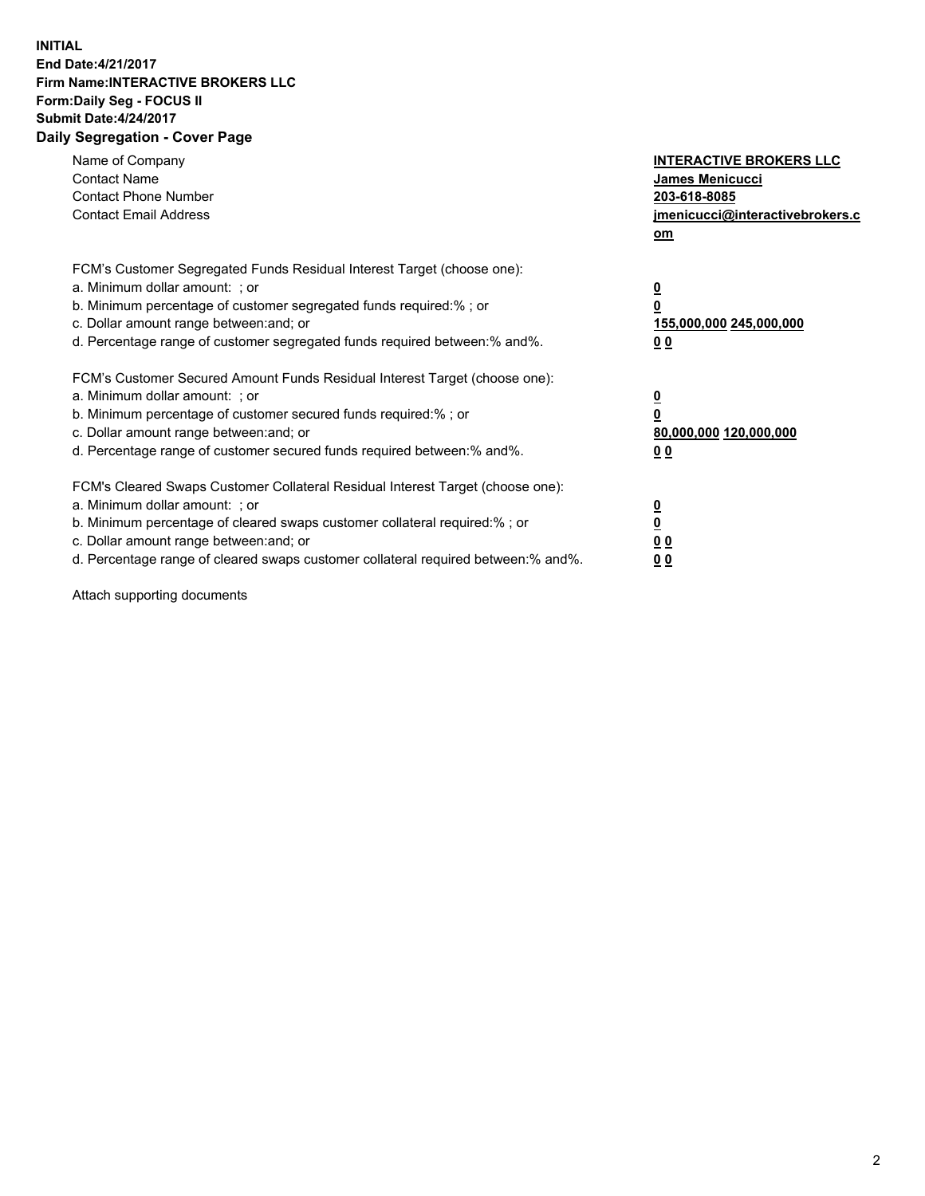## **INITIAL End Date:4/21/2017 Firm Name:INTERACTIVE BROKERS LLC Form:Daily Seg - FOCUS II Submit Date:4/24/2017 Daily Segregation - Cover Page**

| Name of Company<br><b>Contact Name</b><br><b>Contact Phone Number</b><br><b>Contact Email Address</b>                                                                                                                                                                                                                          | <b>INTERACTIVE BROKERS LLC</b><br><b>James Menicucci</b><br>203-618-8085<br>jmenicucci@interactivebrokers.c<br>om |
|--------------------------------------------------------------------------------------------------------------------------------------------------------------------------------------------------------------------------------------------------------------------------------------------------------------------------------|-------------------------------------------------------------------------------------------------------------------|
| FCM's Customer Segregated Funds Residual Interest Target (choose one):<br>a. Minimum dollar amount: ; or<br>b. Minimum percentage of customer segregated funds required:%; or<br>c. Dollar amount range between: and; or<br>d. Percentage range of customer segregated funds required between:% and%.                          | $\overline{\mathbf{0}}$<br>0<br>155,000,000 245,000,000<br>0 <sub>0</sub>                                         |
| FCM's Customer Secured Amount Funds Residual Interest Target (choose one):<br>a. Minimum dollar amount: ; or<br>b. Minimum percentage of customer secured funds required:%; or<br>c. Dollar amount range between: and; or<br>d. Percentage range of customer secured funds required between: % and %.                          | $\overline{\mathbf{0}}$<br>0<br>80,000,000 120,000,000<br>0 <sub>0</sub>                                          |
| FCM's Cleared Swaps Customer Collateral Residual Interest Target (choose one):<br>a. Minimum dollar amount: ; or<br>b. Minimum percentage of cleared swaps customer collateral required:% ; or<br>c. Dollar amount range between: and; or<br>d. Percentage range of cleared swaps customer collateral required between:% and%. | $\overline{\mathbf{0}}$<br>$\overline{\mathbf{0}}$<br>0 <sub>0</sub><br><u>00</u>                                 |

Attach supporting documents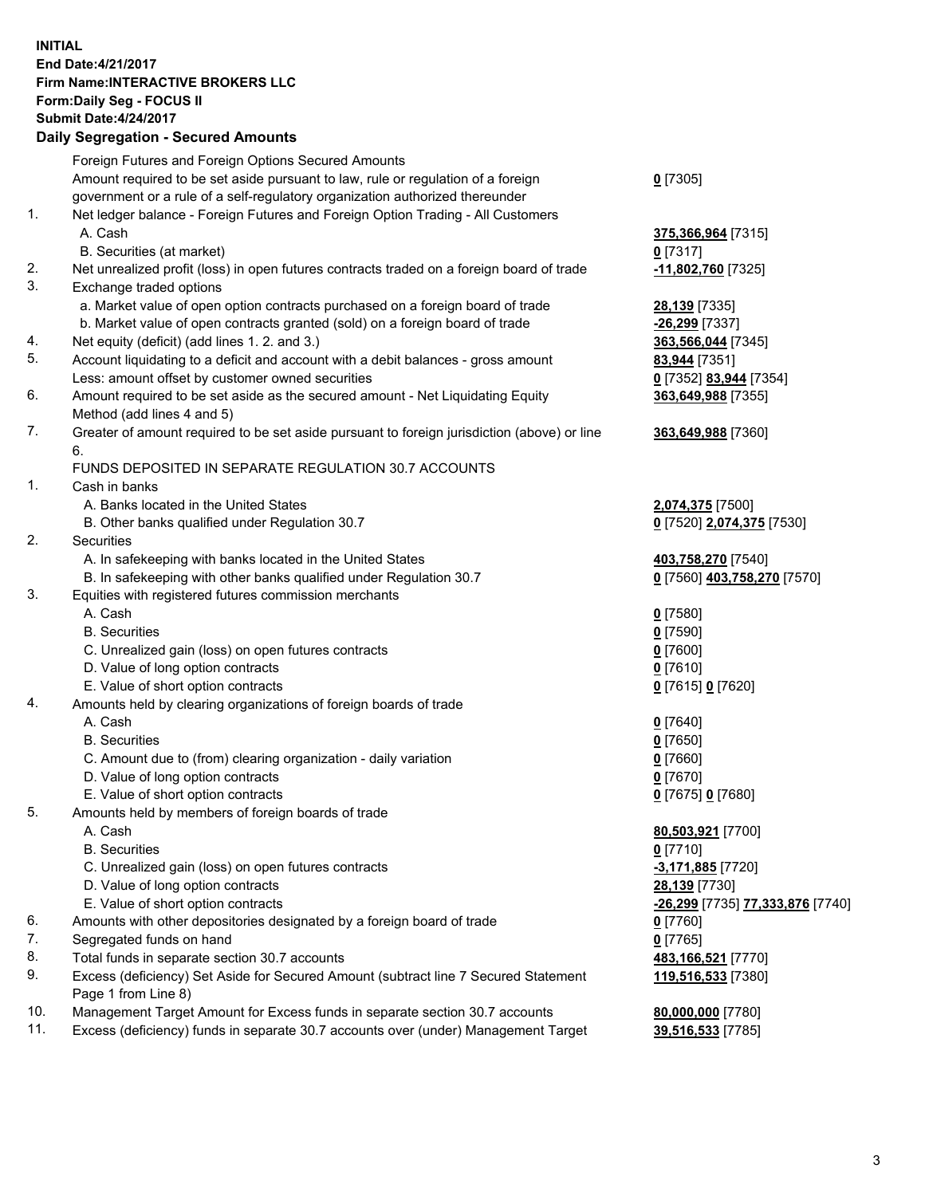## **INITIAL End Date:4/21/2017 Firm Name:INTERACTIVE BROKERS LLC Form:Daily Seg - FOCUS II Submit Date:4/24/2017 Daily Segregation - Secured Amounts**

|     | Dany Ocgregation - Oceanea Annoante                                                                        |                                  |
|-----|------------------------------------------------------------------------------------------------------------|----------------------------------|
|     | Foreign Futures and Foreign Options Secured Amounts                                                        |                                  |
|     | Amount required to be set aside pursuant to law, rule or regulation of a foreign                           | $0$ [7305]                       |
|     | government or a rule of a self-regulatory organization authorized thereunder                               |                                  |
| 1.  | Net ledger balance - Foreign Futures and Foreign Option Trading - All Customers                            |                                  |
|     | A. Cash                                                                                                    | 375,366,964 [7315]               |
|     | B. Securities (at market)                                                                                  | $0$ [7317]                       |
| 2.  | Net unrealized profit (loss) in open futures contracts traded on a foreign board of trade                  | -11,802,760 [7325]               |
| 3.  | Exchange traded options                                                                                    |                                  |
|     | a. Market value of open option contracts purchased on a foreign board of trade                             | 28,139 [7335]                    |
|     | b. Market value of open contracts granted (sold) on a foreign board of trade                               | -26,299 [7337]                   |
| 4.  | Net equity (deficit) (add lines 1.2. and 3.)                                                               | 363,566,044 [7345]               |
| 5.  | Account liquidating to a deficit and account with a debit balances - gross amount                          | 83,944 [7351]                    |
|     | Less: amount offset by customer owned securities                                                           | 0 [7352] 83,944 [7354]           |
| 6.  | Amount required to be set aside as the secured amount - Net Liquidating Equity                             | 363,649,988 [7355]               |
|     | Method (add lines 4 and 5)                                                                                 |                                  |
| 7.  | Greater of amount required to be set aside pursuant to foreign jurisdiction (above) or line                | 363,649,988 [7360]               |
|     | 6.                                                                                                         |                                  |
|     | FUNDS DEPOSITED IN SEPARATE REGULATION 30.7 ACCOUNTS                                                       |                                  |
| 1.  | Cash in banks                                                                                              |                                  |
|     | A. Banks located in the United States                                                                      | 2,074,375 [7500]                 |
|     | B. Other banks qualified under Regulation 30.7                                                             | 0 [7520] 2,074,375 [7530]        |
| 2.  | <b>Securities</b>                                                                                          |                                  |
|     | A. In safekeeping with banks located in the United States                                                  | 403,758,270 [7540]               |
|     | B. In safekeeping with other banks qualified under Regulation 30.7                                         | 0 [7560] 403,758,270 [7570]      |
| 3.  | Equities with registered futures commission merchants                                                      |                                  |
|     | A. Cash                                                                                                    | $0$ [7580]                       |
|     | <b>B.</b> Securities                                                                                       | $0$ [7590]                       |
|     | C. Unrealized gain (loss) on open futures contracts                                                        | $0$ [7600]                       |
|     | D. Value of long option contracts                                                                          | $0$ [7610]                       |
|     | E. Value of short option contracts                                                                         | 0 [7615] 0 [7620]                |
| 4.  | Amounts held by clearing organizations of foreign boards of trade                                          |                                  |
|     | A. Cash                                                                                                    | $0$ [7640]                       |
|     | <b>B.</b> Securities                                                                                       | $0$ [7650]                       |
|     | C. Amount due to (from) clearing organization - daily variation                                            | $0$ [7660]                       |
|     | D. Value of long option contracts                                                                          | $0$ [7670]                       |
|     | E. Value of short option contracts                                                                         | 0 [7675] 0 [7680]                |
| 5.  | Amounts held by members of foreign boards of trade                                                         |                                  |
|     | A. Cash                                                                                                    | 80,503,921 [7700]                |
|     | <b>B.</b> Securities                                                                                       | $0$ [7710]                       |
|     | C. Unrealized gain (loss) on open futures contracts                                                        | $-3,171,885$ [7720]              |
|     | D. Value of long option contracts                                                                          | 28,139 [7730]                    |
|     | E. Value of short option contracts                                                                         | -26,299 [7735] 77,333,876 [7740] |
| 6.  | Amounts with other depositories designated by a foreign board of trade                                     | $0$ [7760]                       |
| 7.  | Segregated funds on hand                                                                                   | $0$ [7765]                       |
| 8.  | Total funds in separate section 30.7 accounts                                                              | 483,166,521 [7770]               |
| 9.  | Excess (deficiency) Set Aside for Secured Amount (subtract line 7 Secured Statement<br>Page 1 from Line 8) | 119,516,533 [7380]               |
| 10. | Management Target Amount for Excess funds in separate section 30.7 accounts                                | 80,000,000 [7780]                |
| 11. | Excess (deficiency) funds in separate 30.7 accounts over (under) Management Target                         | 39,516,533 [7785]                |
|     |                                                                                                            |                                  |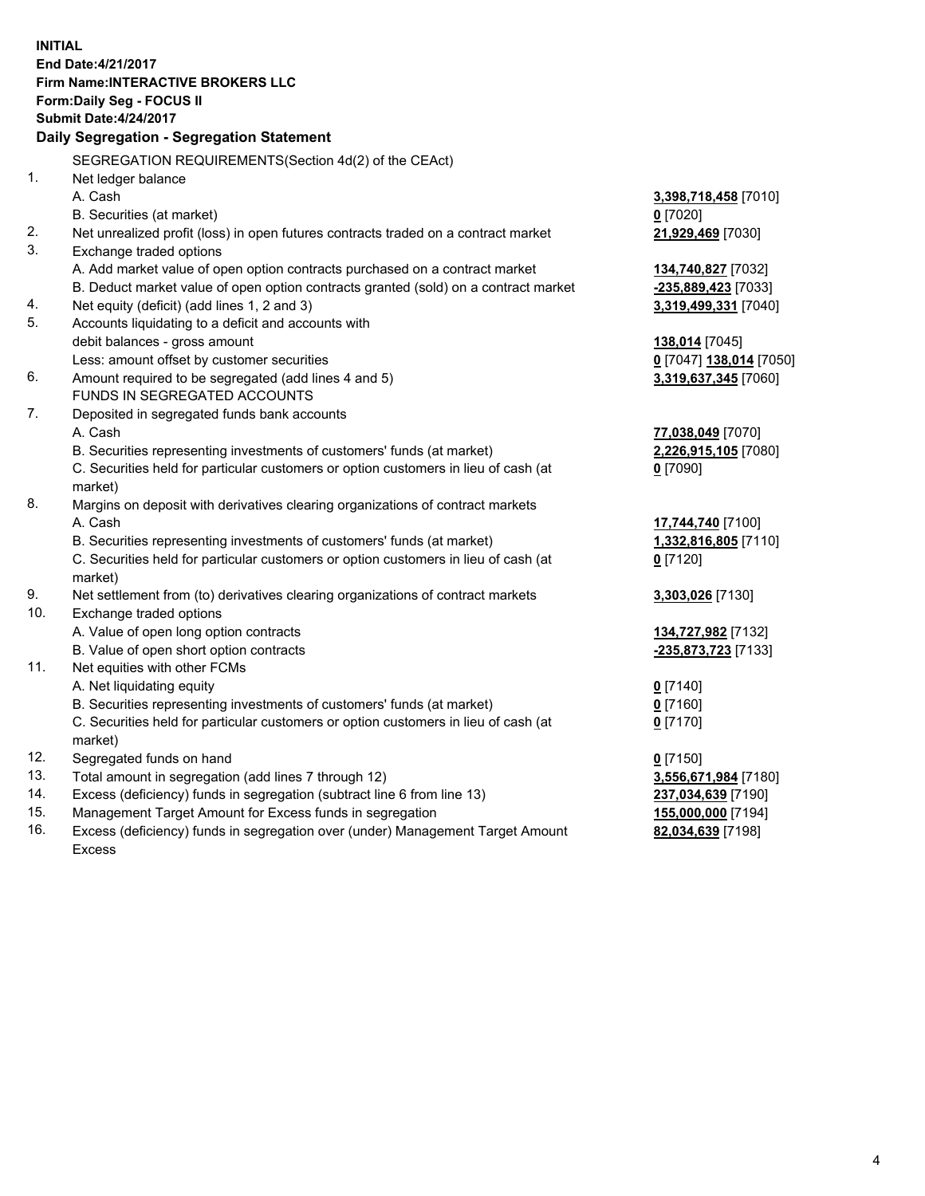**INITIAL End Date:4/21/2017 Firm Name:INTERACTIVE BROKERS LLC Form:Daily Seg - FOCUS II Submit Date:4/24/2017 Daily Segregation - Segregation Statement** SEGREGATION REQUIREMENTS(Section 4d(2) of the CEAct) 1. Net ledger balance A. Cash **3,398,718,458** [7010] B. Securities (at market) **0** [7020] 2. Net unrealized profit (loss) in open futures contracts traded on a contract market **21,929,469** [7030] 3. Exchange traded options A. Add market value of open option contracts purchased on a contract market **134,740,827** [7032] B. Deduct market value of open option contracts granted (sold) on a contract market **-235,889,423** [7033] 4. Net equity (deficit) (add lines 1, 2 and 3) **3,319,499,331** [7040] 5. Accounts liquidating to a deficit and accounts with debit balances - gross amount **138,014** [7045] Less: amount offset by customer securities **0** [7047] **138,014** [7050] 6. Amount required to be segregated (add lines 4 and 5) **3,319,637,345** [7060] FUNDS IN SEGREGATED ACCOUNTS 7. Deposited in segregated funds bank accounts A. Cash **77,038,049** [7070] B. Securities representing investments of customers' funds (at market) **2,226,915,105** [7080] C. Securities held for particular customers or option customers in lieu of cash (at market) **0** [7090] 8. Margins on deposit with derivatives clearing organizations of contract markets A. Cash **17,744,740** [7100] B. Securities representing investments of customers' funds (at market) **1,332,816,805** [7110] C. Securities held for particular customers or option customers in lieu of cash (at market) **0** [7120] 9. Net settlement from (to) derivatives clearing organizations of contract markets **3,303,026** [7130] 10. Exchange traded options A. Value of open long option contracts **134,727,982** [7132] B. Value of open short option contracts **-235,873,723** [7133] 11. Net equities with other FCMs A. Net liquidating equity **0** [7140] B. Securities representing investments of customers' funds (at market) **0** [7160] C. Securities held for particular customers or option customers in lieu of cash (at market) **0** [7170] 12. Segregated funds on hand **0** [7150] 13. Total amount in segregation (add lines 7 through 12) **3,556,671,984** [7180] 14. Excess (deficiency) funds in segregation (subtract line 6 from line 13) **237,034,639** [7190] 15. Management Target Amount for Excess funds in segregation **155,000,000** [7194]

16. Excess (deficiency) funds in segregation over (under) Management Target Amount Excess

**82,034,639** [7198]